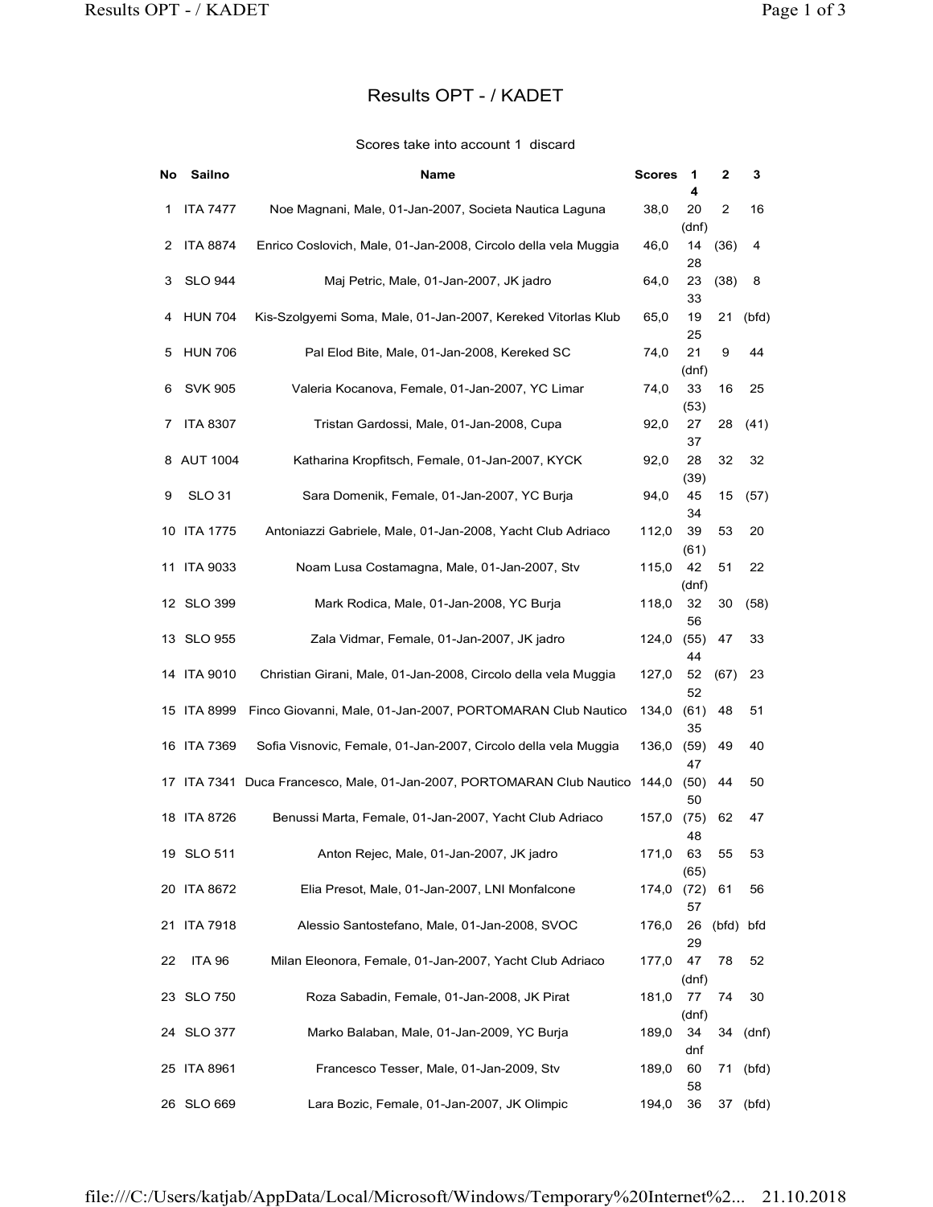## Results OPT - / KADET

## Scores take into account 1 discard

| PT-/KADET   |                                                                                   |               |             |                | Page 1 of 3 |
|-------------|-----------------------------------------------------------------------------------|---------------|-------------|----------------|-------------|
|             | Results OPT - / KADET                                                             |               |             |                |             |
|             | Scores take into account 1 discard                                                |               |             |                |             |
| No Sailno   | <b>Name</b>                                                                       | <b>Scores</b> | - 1         | 2              | 3           |
| 1 ITA 7477  | Noe Magnani, Male, 01-Jan-2007, Societa Nautica Laguna                            | 38,0          | 4<br>20     | $\overline{2}$ | 16          |
| 2 ITA 8874  | Enrico Coslovich, Male, 01-Jan-2008, Circolo della vela Muggia                    | 46,0          | (dnf)<br>14 | (36)           | 4           |
| 3 SLO 944   | Maj Petric, Male, 01-Jan-2007, JK jadro                                           | 64,0          | 28<br>23    | (38)           | 8           |
| 4 HUN 704   | Kis-Szolgyemi Soma, Male, 01-Jan-2007, Kereked Vitorlas Klub                      | 65,0          | 33<br>19    |                | 21 (bfd)    |
| 5 HUN 706   | Pal Elod Bite, Male, 01-Jan-2008, Kereked SC                                      | 74,0          | 25<br>21    | 9              | 44          |
| 6 SVK 905   | Valeria Kocanova, Female, 01-Jan-2007, YC Limar                                   | 74,0          | (dnf)<br>33 | 16             | 25          |
| 7 ITA 8307  | Tristan Gardossi, Male, 01-Jan-2008, Cupa                                         | 92,0          | (53)<br>27  |                | 28 (41)     |
| 8 AUT 1004  | Katharina Kropfitsch, Female, 01-Jan-2007, KYCK                                   | 92,0          | 37<br>28    | 32             | 32          |
| 9 SLO 31    | Sara Domenik, Female, 01-Jan-2007, YC Burja                                       | 94,0          | (39)<br>45  |                | 15 (57)     |
| 10 ITA 1775 | Antoniazzi Gabriele, Male, 01-Jan-2008, Yacht Club Adriaco                        | 112,0         | 34<br>39    | 53             | 20          |
| 11 ITA 9033 | Noam Lusa Costamagna, Male, 01-Jan-2007, Stv                                      | 115,0 42      | (61)        | 51             | 22          |
| 12 SLO 399  | Mark Rodica, Male, 01-Jan-2008, YC Burja                                          | 118,0         | (dnf)<br>32 | 30             | (58)        |
| 13 SLO 955  | Zala Vidmar, Female, 01-Jan-2007, JK jadro                                        | 124,0 (55) 47 | 56          |                | 33          |
| 14 ITA 9010 | Christian Girani, Male, 01-Jan-2008, Circolo della vela Muggia                    | 127,0         | 44<br>52    | (67)           | 23          |
|             |                                                                                   |               | 52          |                |             |
| 15 ITA 8999 | Finco Giovanni, Male, 01-Jan-2007, PORTOMARAN Club Nautico 134,0                  |               | (61)<br>35  | 48             | 51          |
| 16 ITA 7369 | Sofia Visnovic, Female, 01-Jan-2007, Circolo della vela Muggia                    | 136,0 (59)    | 47          | 49             | 40          |
|             | 17 ITA 7341 Duca Francesco, Male, 01-Jan-2007, PORTOMARAN Club Nautico 144,0 (50) |               | 50          | 44             | 50          |
| 18 ITA 8726 | Benussi Marta, Female, 01-Jan-2007, Yacht Club Adriaco                            | 157,0 (75)    | 48          | 62             | 47          |
| 19 SLO 511  | Anton Rejec, Male, 01-Jan-2007, JK jadro                                          | 171,0 63      | (65)        | 55             | 53          |
| 20 ITA 8672 | Elia Presot, Male, 01-Jan-2007, LNI Monfalcone                                    | 174,0 (72) 61 | 57          |                | 56          |
| 21 ITA 7918 | Alessio Santostefano, Male, 01-Jan-2008, SVOC                                     | 176,0         | 29          | 26 (bfd) bfd   |             |
| 22 ITA 96   | Milan Eleonora, Female, 01-Jan-2007, Yacht Club Adriaco                           | 177,0 47      |             | 78             | 52          |
| 23 SLO 750  | Roza Sabadin, Female, 01-Jan-2008, JK Pirat                                       | 181,0 77 74   | (dnf)       |                | 30          |
| 24 SLO 377  | Marko Balaban, Male, 01-Jan-2009, YC Burja                                        | 189,0         | (dnf)<br>34 |                | 34 (dnf)    |
| 25 ITA 8961 | Francesco Tesser, Male, 01-Jan-2009, Stv                                          | 189,0         | dnf<br>60   |                | 71 (bfd)    |
| 26 SLO 669  | Lara Bozic, Female, 01-Jan-2007, JK Olimpic                                       | 194,0         | 58<br>36    |                | 37 (bfd)    |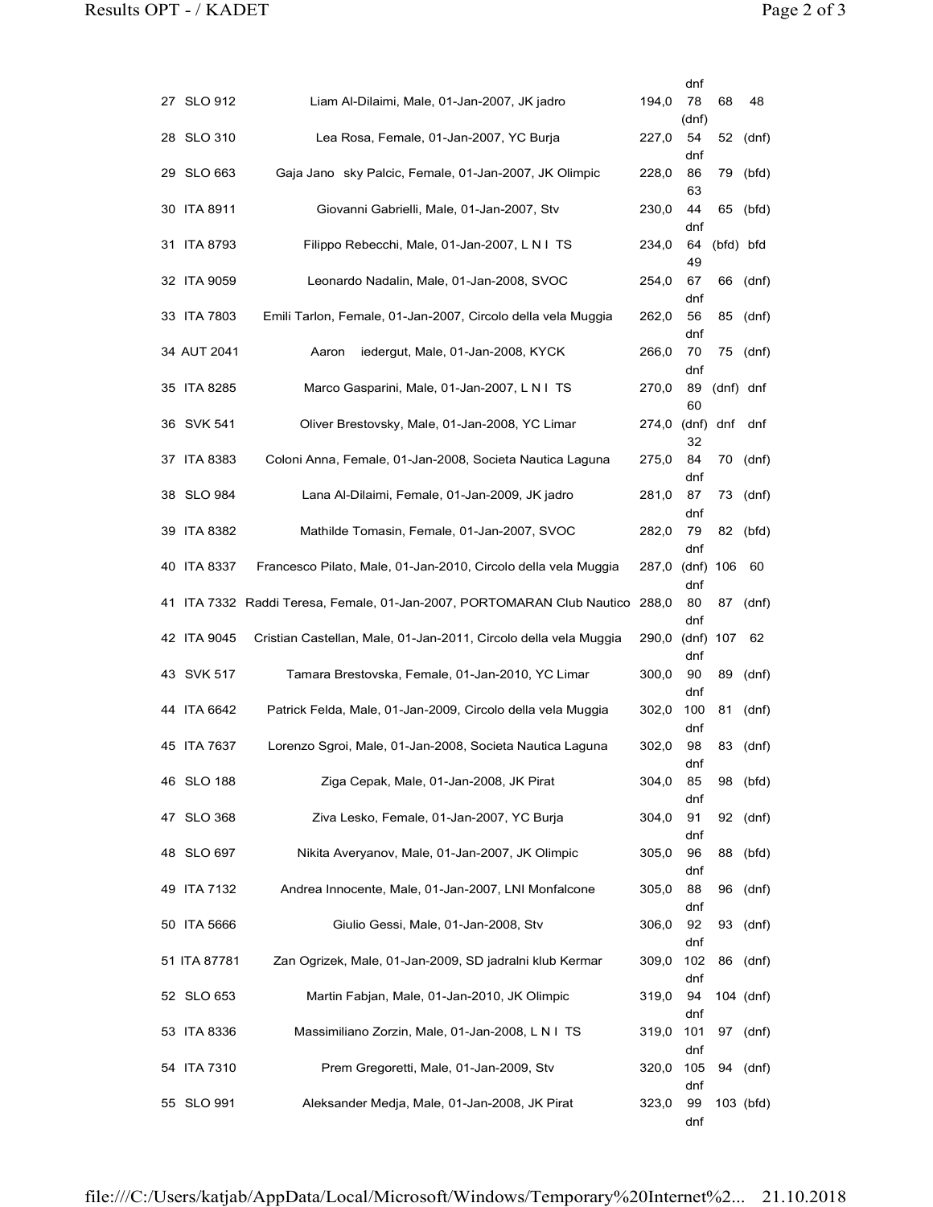| dnf<br>27 SLO 912<br>Liam Al-Dilaimi, Male, 01-Jan-2007, JK jadro<br>78<br>194,0<br>68<br>48<br>(dnf)<br>28 SLO 310<br>Lea Rosa, Female, 01-Jan-2007, YC Burja<br>227,0<br>54<br>52<br>(dnf)<br>dnf<br>29 SLO 663<br>Gaja Jano sky Palcic, Female, 01-Jan-2007, JK Olimpic<br>228,0<br>86<br>79<br>(bfd)<br>63<br>30 ITA 8911<br>Giovanni Gabrielli, Male, 01-Jan-2007, Stv<br>230,0<br>44<br>65 (bfd)<br>dnf<br>Filippo Rebecchi, Male, 01-Jan-2007, L N I TS<br>31 ITA 8793<br>234,0<br>64 (bfd) bfd<br>49<br>32 ITA 9059<br>Leonardo Nadalin, Male, 01-Jan-2008, SVOC<br>254,0<br>67<br>66<br>(dnf)<br>dnf<br>33 ITA 7803<br>Emili Tarlon, Female, 01-Jan-2007, Circolo della vela Muggia<br>262,0<br>56<br>85 (dnf)<br>dnf<br>34 AUT 2041<br>Aaron iedergut, Male, 01-Jan-2008, KYCK<br>266,0<br>70<br>75 (dnf)<br>dnf<br>35 ITA 8285<br>Marco Gasparini, Male, 01-Jan-2007, L N I TS<br>270,0<br>89 (dnf) dnf<br>60<br>36 SVK 541<br>Oliver Brestovsky, Male, 01-Jan-2008, YC Limar<br>274,0 (dnf) dnf dnf<br>32<br>37 ITA 8383<br>Coloni Anna, Female, 01-Jan-2008, Societa Nautica Laguna<br>275,0<br>84<br>70 (dnf)<br>dnf<br>38 SLO 984<br>Lana Al-Dilaimi, Female, 01-Jan-2009, JK jadro<br>87<br>73 (dnf)<br>281,0<br>dnf<br>79<br>39 ITA 8382<br>Mathilde Tomasin, Female, 01-Jan-2007, SVOC<br>282,0<br>82 (bfd)<br>dnf<br>287,0 (dnf) 106 60<br>40 ITA 8337<br>Francesco Pilato, Male, 01-Jan-2010, Circolo della vela Muggia<br>dnf<br>80<br>41 ITA 7332 Raddi Teresa, Female, 01-Jan-2007, PORTOMARAN Club Nautico 288,0<br>87<br>(dnf)<br>dnf<br>42 ITA 9045<br>Cristian Castellan, Male, 01-Jan-2011, Circolo della vela Muggia<br>290,0 (dnf) 107 62<br>dnf<br>43 SVK 517<br>Tamara Brestovska, Female, 01-Jan-2010, YC Limar<br>90<br>89<br>300,0<br>(dnf)<br>dnf<br>44 ITA 6642<br>Patrick Felda, Male, 01-Jan-2009, Circolo della vela Muggia<br>302,0 100<br>81 (dnf)<br>dnf<br>45 ITA 7637<br>Lorenzo Sgroi, Male, 01-Jan-2008, Societa Nautica Laguna<br>302,0<br>98<br>83 (dnf)<br>dnf<br>46 SLO 188<br>Ziga Cepak, Male, 01-Jan-2008, JK Pirat<br>304,0 85<br>98 (bfd) |
|---------------------------------------------------------------------------------------------------------------------------------------------------------------------------------------------------------------------------------------------------------------------------------------------------------------------------------------------------------------------------------------------------------------------------------------------------------------------------------------------------------------------------------------------------------------------------------------------------------------------------------------------------------------------------------------------------------------------------------------------------------------------------------------------------------------------------------------------------------------------------------------------------------------------------------------------------------------------------------------------------------------------------------------------------------------------------------------------------------------------------------------------------------------------------------------------------------------------------------------------------------------------------------------------------------------------------------------------------------------------------------------------------------------------------------------------------------------------------------------------------------------------------------------------------------------------------------------------------------------------------------------------------------------------------------------------------------------------------------------------------------------------------------------------------------------------------------------------------------------------------------------------------------------------------------------------------------------------------------------------------------------------------------------------------------------------------------------------------|
|                                                                                                                                                                                                                                                                                                                                                                                                                                                                                                                                                                                                                                                                                                                                                                                                                                                                                                                                                                                                                                                                                                                                                                                                                                                                                                                                                                                                                                                                                                                                                                                                                                                                                                                                                                                                                                                                                                                                                                                                                                                                                                   |
|                                                                                                                                                                                                                                                                                                                                                                                                                                                                                                                                                                                                                                                                                                                                                                                                                                                                                                                                                                                                                                                                                                                                                                                                                                                                                                                                                                                                                                                                                                                                                                                                                                                                                                                                                                                                                                                                                                                                                                                                                                                                                                   |
|                                                                                                                                                                                                                                                                                                                                                                                                                                                                                                                                                                                                                                                                                                                                                                                                                                                                                                                                                                                                                                                                                                                                                                                                                                                                                                                                                                                                                                                                                                                                                                                                                                                                                                                                                                                                                                                                                                                                                                                                                                                                                                   |
|                                                                                                                                                                                                                                                                                                                                                                                                                                                                                                                                                                                                                                                                                                                                                                                                                                                                                                                                                                                                                                                                                                                                                                                                                                                                                                                                                                                                                                                                                                                                                                                                                                                                                                                                                                                                                                                                                                                                                                                                                                                                                                   |
|                                                                                                                                                                                                                                                                                                                                                                                                                                                                                                                                                                                                                                                                                                                                                                                                                                                                                                                                                                                                                                                                                                                                                                                                                                                                                                                                                                                                                                                                                                                                                                                                                                                                                                                                                                                                                                                                                                                                                                                                                                                                                                   |
|                                                                                                                                                                                                                                                                                                                                                                                                                                                                                                                                                                                                                                                                                                                                                                                                                                                                                                                                                                                                                                                                                                                                                                                                                                                                                                                                                                                                                                                                                                                                                                                                                                                                                                                                                                                                                                                                                                                                                                                                                                                                                                   |
|                                                                                                                                                                                                                                                                                                                                                                                                                                                                                                                                                                                                                                                                                                                                                                                                                                                                                                                                                                                                                                                                                                                                                                                                                                                                                                                                                                                                                                                                                                                                                                                                                                                                                                                                                                                                                                                                                                                                                                                                                                                                                                   |
|                                                                                                                                                                                                                                                                                                                                                                                                                                                                                                                                                                                                                                                                                                                                                                                                                                                                                                                                                                                                                                                                                                                                                                                                                                                                                                                                                                                                                                                                                                                                                                                                                                                                                                                                                                                                                                                                                                                                                                                                                                                                                                   |
|                                                                                                                                                                                                                                                                                                                                                                                                                                                                                                                                                                                                                                                                                                                                                                                                                                                                                                                                                                                                                                                                                                                                                                                                                                                                                                                                                                                                                                                                                                                                                                                                                                                                                                                                                                                                                                                                                                                                                                                                                                                                                                   |
|                                                                                                                                                                                                                                                                                                                                                                                                                                                                                                                                                                                                                                                                                                                                                                                                                                                                                                                                                                                                                                                                                                                                                                                                                                                                                                                                                                                                                                                                                                                                                                                                                                                                                                                                                                                                                                                                                                                                                                                                                                                                                                   |
|                                                                                                                                                                                                                                                                                                                                                                                                                                                                                                                                                                                                                                                                                                                                                                                                                                                                                                                                                                                                                                                                                                                                                                                                                                                                                                                                                                                                                                                                                                                                                                                                                                                                                                                                                                                                                                                                                                                                                                                                                                                                                                   |
|                                                                                                                                                                                                                                                                                                                                                                                                                                                                                                                                                                                                                                                                                                                                                                                                                                                                                                                                                                                                                                                                                                                                                                                                                                                                                                                                                                                                                                                                                                                                                                                                                                                                                                                                                                                                                                                                                                                                                                                                                                                                                                   |
|                                                                                                                                                                                                                                                                                                                                                                                                                                                                                                                                                                                                                                                                                                                                                                                                                                                                                                                                                                                                                                                                                                                                                                                                                                                                                                                                                                                                                                                                                                                                                                                                                                                                                                                                                                                                                                                                                                                                                                                                                                                                                                   |
|                                                                                                                                                                                                                                                                                                                                                                                                                                                                                                                                                                                                                                                                                                                                                                                                                                                                                                                                                                                                                                                                                                                                                                                                                                                                                                                                                                                                                                                                                                                                                                                                                                                                                                                                                                                                                                                                                                                                                                                                                                                                                                   |
|                                                                                                                                                                                                                                                                                                                                                                                                                                                                                                                                                                                                                                                                                                                                                                                                                                                                                                                                                                                                                                                                                                                                                                                                                                                                                                                                                                                                                                                                                                                                                                                                                                                                                                                                                                                                                                                                                                                                                                                                                                                                                                   |
|                                                                                                                                                                                                                                                                                                                                                                                                                                                                                                                                                                                                                                                                                                                                                                                                                                                                                                                                                                                                                                                                                                                                                                                                                                                                                                                                                                                                                                                                                                                                                                                                                                                                                                                                                                                                                                                                                                                                                                                                                                                                                                   |
|                                                                                                                                                                                                                                                                                                                                                                                                                                                                                                                                                                                                                                                                                                                                                                                                                                                                                                                                                                                                                                                                                                                                                                                                                                                                                                                                                                                                                                                                                                                                                                                                                                                                                                                                                                                                                                                                                                                                                                                                                                                                                                   |
|                                                                                                                                                                                                                                                                                                                                                                                                                                                                                                                                                                                                                                                                                                                                                                                                                                                                                                                                                                                                                                                                                                                                                                                                                                                                                                                                                                                                                                                                                                                                                                                                                                                                                                                                                                                                                                                                                                                                                                                                                                                                                                   |
|                                                                                                                                                                                                                                                                                                                                                                                                                                                                                                                                                                                                                                                                                                                                                                                                                                                                                                                                                                                                                                                                                                                                                                                                                                                                                                                                                                                                                                                                                                                                                                                                                                                                                                                                                                                                                                                                                                                                                                                                                                                                                                   |
|                                                                                                                                                                                                                                                                                                                                                                                                                                                                                                                                                                                                                                                                                                                                                                                                                                                                                                                                                                                                                                                                                                                                                                                                                                                                                                                                                                                                                                                                                                                                                                                                                                                                                                                                                                                                                                                                                                                                                                                                                                                                                                   |
| dnf<br>47 SLO 368<br>Ziva Lesko, Female, 01-Jan-2007, YC Burja<br>304,0 91<br>92 (dnf)                                                                                                                                                                                                                                                                                                                                                                                                                                                                                                                                                                                                                                                                                                                                                                                                                                                                                                                                                                                                                                                                                                                                                                                                                                                                                                                                                                                                                                                                                                                                                                                                                                                                                                                                                                                                                                                                                                                                                                                                            |
| dnf<br>48 SLO 697<br>Nikita Averyanov, Male, 01-Jan-2007, JK Olimpic<br>305,0 96<br>88 (bfd)                                                                                                                                                                                                                                                                                                                                                                                                                                                                                                                                                                                                                                                                                                                                                                                                                                                                                                                                                                                                                                                                                                                                                                                                                                                                                                                                                                                                                                                                                                                                                                                                                                                                                                                                                                                                                                                                                                                                                                                                      |
| dnf<br>49 ITA 7132<br>Andrea Innocente, Male, 01-Jan-2007, LNI Monfalcone<br>88<br>96 (dnf)<br>305,0                                                                                                                                                                                                                                                                                                                                                                                                                                                                                                                                                                                                                                                                                                                                                                                                                                                                                                                                                                                                                                                                                                                                                                                                                                                                                                                                                                                                                                                                                                                                                                                                                                                                                                                                                                                                                                                                                                                                                                                              |
| dnf<br>50 ITA 5666<br>Giulio Gessi, Male, 01-Jan-2008, Stv<br>92<br>93 (dnf)<br>306,0                                                                                                                                                                                                                                                                                                                                                                                                                                                                                                                                                                                                                                                                                                                                                                                                                                                                                                                                                                                                                                                                                                                                                                                                                                                                                                                                                                                                                                                                                                                                                                                                                                                                                                                                                                                                                                                                                                                                                                                                             |
| dnf<br>51 ITA 87781<br>Zan Ogrizek, Male, 01-Jan-2009, SD jadralni klub Kermar<br>309,0 102<br>86 (dnf)                                                                                                                                                                                                                                                                                                                                                                                                                                                                                                                                                                                                                                                                                                                                                                                                                                                                                                                                                                                                                                                                                                                                                                                                                                                                                                                                                                                                                                                                                                                                                                                                                                                                                                                                                                                                                                                                                                                                                                                           |
| dnf<br>52 SLO 653<br>Martin Fabjan, Male, 01-Jan-2010, JK Olimpic<br>319,0<br>94 104 (dnf)                                                                                                                                                                                                                                                                                                                                                                                                                                                                                                                                                                                                                                                                                                                                                                                                                                                                                                                                                                                                                                                                                                                                                                                                                                                                                                                                                                                                                                                                                                                                                                                                                                                                                                                                                                                                                                                                                                                                                                                                        |
| dnf<br>53 ITA 8336<br>Massimiliano Zorzin, Male, 01-Jan-2008, L N I TS<br>319,0 101<br>97 (dnf)                                                                                                                                                                                                                                                                                                                                                                                                                                                                                                                                                                                                                                                                                                                                                                                                                                                                                                                                                                                                                                                                                                                                                                                                                                                                                                                                                                                                                                                                                                                                                                                                                                                                                                                                                                                                                                                                                                                                                                                                   |
| dnf<br>320,0 105 94 (dnf)<br>54 ITA 7310<br>Prem Gregoretti, Male, 01-Jan-2009, Stv                                                                                                                                                                                                                                                                                                                                                                                                                                                                                                                                                                                                                                                                                                                                                                                                                                                                                                                                                                                                                                                                                                                                                                                                                                                                                                                                                                                                                                                                                                                                                                                                                                                                                                                                                                                                                                                                                                                                                                                                               |
| dnf<br>Aleksander Medja, Male, 01-Jan-2008, JK Pirat<br>55 SLO 991<br>323,0 99 103 (bfd)                                                                                                                                                                                                                                                                                                                                                                                                                                                                                                                                                                                                                                                                                                                                                                                                                                                                                                                                                                                                                                                                                                                                                                                                                                                                                                                                                                                                                                                                                                                                                                                                                                                                                                                                                                                                                                                                                                                                                                                                          |